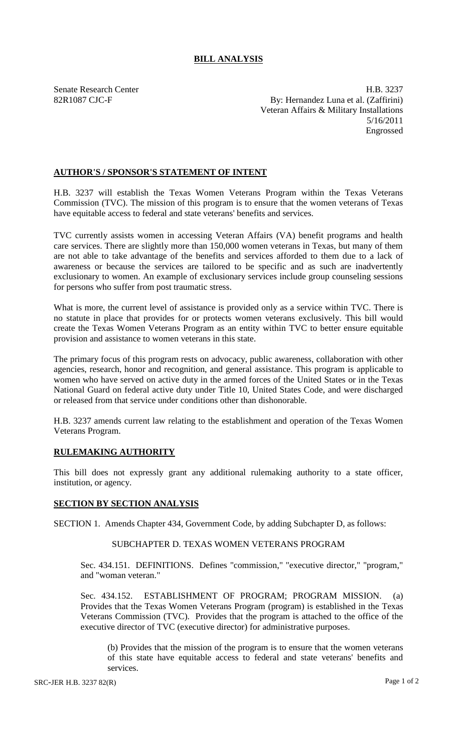## **BILL ANALYSIS**

Senate Research Center **H.B. 3237** 82R1087 CJC-F By: Hernandez Luna et al. (Zaffirini) Veteran Affairs & Military Installations 5/16/2011 Engrossed

### **AUTHOR'S / SPONSOR'S STATEMENT OF INTENT**

H.B. 3237 will establish the Texas Women Veterans Program within the Texas Veterans Commission (TVC). The mission of this program is to ensure that the women veterans of Texas have equitable access to federal and state veterans' benefits and services.

TVC currently assists women in accessing Veteran Affairs (VA) benefit programs and health care services. There are slightly more than 150,000 women veterans in Texas, but many of them are not able to take advantage of the benefits and services afforded to them due to a lack of awareness or because the services are tailored to be specific and as such are inadvertently exclusionary to women. An example of exclusionary services include group counseling sessions for persons who suffer from post traumatic stress.

What is more, the current level of assistance is provided only as a service within TVC. There is no statute in place that provides for or protects women veterans exclusively. This bill would create the Texas Women Veterans Program as an entity within TVC to better ensure equitable provision and assistance to women veterans in this state.

The primary focus of this program rests on advocacy, public awareness, collaboration with other agencies, research, honor and recognition, and general assistance. This program is applicable to women who have served on active duty in the armed forces of the United States or in the Texas National Guard on federal active duty under Title 10, United States Code, and were discharged or released from that service under conditions other than dishonorable.

H.B. 3237 amends current law relating to the establishment and operation of the Texas Women Veterans Program.

# **RULEMAKING AUTHORITY**

This bill does not expressly grant any additional rulemaking authority to a state officer, institution, or agency.

### **SECTION BY SECTION ANALYSIS**

SECTION 1. Amends Chapter 434, Government Code, by adding Subchapter D, as follows:

### SUBCHAPTER D. TEXAS WOMEN VETERANS PROGRAM

Sec. 434.151. DEFINITIONS. Defines "commission," "executive director," "program," and "woman veteran."

Sec. 434.152. ESTABLISHMENT OF PROGRAM; PROGRAM MISSION. (a) Provides that the Texas Women Veterans Program (program) is established in the Texas Veterans Commission (TVC). Provides that the program is attached to the office of the executive director of TVC (executive director) for administrative purposes.

(b) Provides that the mission of the program is to ensure that the women veterans of this state have equitable access to federal and state veterans' benefits and services.